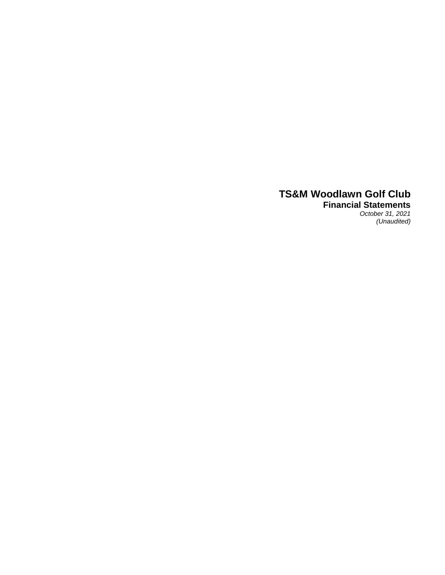**Financial Statements** *October 31, 2021*

*(Unaudited)*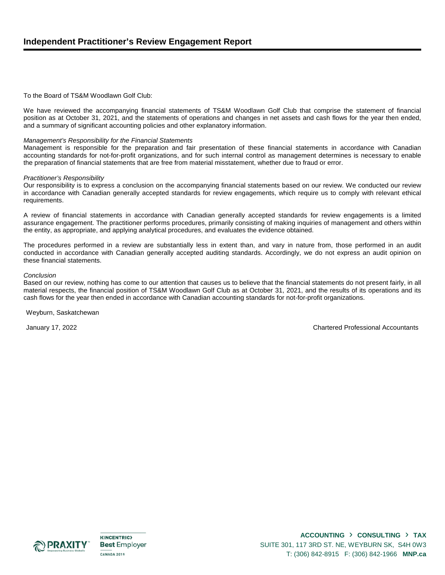# To the Board of TS&M Woodlawn Golf Club:

We have reviewed the accompanying financial statements of TS&M Woodlawn Golf Club that comprise the statement of financial position as at October 31, 2021, and the statements of operations and changes in net assets and cash flows for the year then ended, and a summary of significant accounting policies and other explanatory information.

## *Management's Responsibility for the Financial Statements*

Management is responsible for the preparation and fair presentation of these financial statements in accordance with Canadian accounting standards for not-for-profit organizations, and for such internal control as management determines is necessary to enable the preparation of financial statements that are free from material misstatement, whether due to fraud or error.

## *Practitioner's Responsibility*

Our responsibility is to express a conclusion on the accompanying financial statements based on our review. We conducted our review in accordance with Canadian generally accepted standards for review engagements, which require us to comply with relevant ethical requirements.

A review of financial statements in accordance with Canadian generally accepted standards for review engagements is a limited assurance engagement. The practitioner performs procedures, primarily consisting of making inquiries of management and others within the entity, as appropriate, and applying analytical procedures, and evaluates the evidence obtained.

The procedures performed in a review are substantially less in extent than, and vary in nature from, those performed in an audit conducted in accordance with Canadian generally accepted auditing standards. Accordingly, we do not express an audit opinion on these financial statements.

## *Conclusion*

Based on our review, nothing has come to our attention that causes us to believe that the financial statements do not present fairly, in all material respects, the financial position of TS&M Woodlawn Golf Club as at October 31, 2021, and the results of its operations and its cash flows for the year then ended in accordance with Canadian accounting standards for not-for-profit organizations.

Weyburn, Saskatchewan

January 17, 2022 Chartered Professional Accountants



**KINCENTRIC> Best Employer CANADA 2019**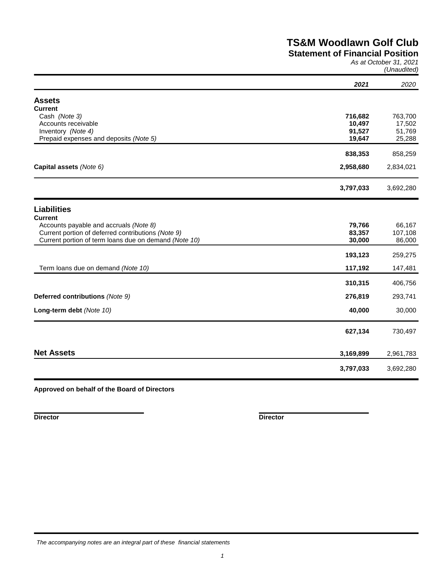# **Statement of Financial Position**

*As at October 31, 2021 (Unaudited)*

|                                                       | 2021      | 2020      |
|-------------------------------------------------------|-----------|-----------|
| <b>Assets</b>                                         |           |           |
| <b>Current</b>                                        |           |           |
| Cash (Note 3)                                         | 716,682   | 763,700   |
| Accounts receivable                                   | 10,497    | 17,502    |
| Inventory (Note 4)                                    | 91,527    | 51,769    |
| Prepaid expenses and deposits (Note 5)                | 19,647    | 25,288    |
|                                                       | 838,353   | 858,259   |
| Capital assets (Note 6)                               | 2,958,680 | 2,834,021 |
|                                                       | 3,797,033 | 3,692,280 |
| <b>Liabilities</b>                                    |           |           |
| <b>Current</b>                                        |           |           |
| Accounts payable and accruals (Note 8)                | 79,766    | 66,167    |
| Current portion of deferred contributions (Note 9)    | 83,357    | 107,108   |
| Current portion of term loans due on demand (Note 10) | 30,000    | 86,000    |
|                                                       | 193,123   | 259,275   |
| Term loans due on demand (Note 10)                    | 117,192   | 147,481   |
|                                                       | 310,315   | 406,756   |
| Deferred contributions (Note 9)                       | 276,819   | 293,741   |
| Long-term debt (Note 10)                              | 40,000    | 30,000    |
|                                                       | 627,134   | 730,497   |
| <b>Net Assets</b>                                     | 3,169,899 | 2,961,783 |
|                                                       | 3,797,033 | 3,692,280 |
|                                                       |           |           |

**Approved on behalf of the Board of Directors**

**Director Director**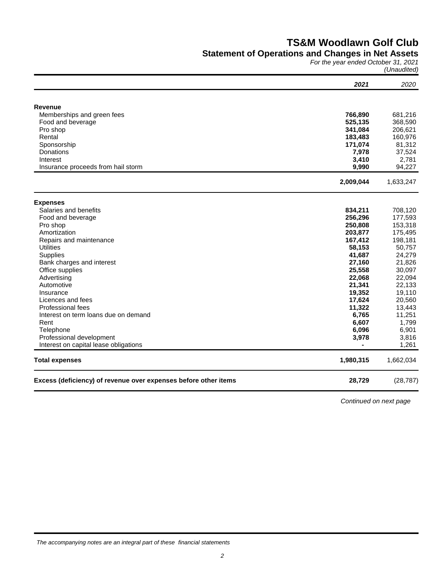# **Statement of Operations and Changes in Net Assets**

*For the year ended October 31, 2021 (Unaudited)*

|                                                                 | 2021      | 2020      |
|-----------------------------------------------------------------|-----------|-----------|
| Revenue                                                         |           |           |
| Memberships and green fees                                      | 766,890   | 681,216   |
| Food and beverage                                               | 525,135   | 368,590   |
| Pro shop                                                        | 341,084   | 206,621   |
| Rental                                                          | 183,483   | 160,976   |
| Sponsorship                                                     | 171,074   | 81,312    |
| Donations                                                       | 7,978     | 37,524    |
| Interest                                                        | 3,410     | 2,781     |
| Insurance proceeds from hail storm                              | 9,990     | 94,227    |
|                                                                 |           |           |
|                                                                 | 2,009,044 | 1,633,247 |
| <b>Expenses</b>                                                 |           |           |
| Salaries and benefits                                           | 834,211   | 708,120   |
| Food and beverage                                               | 256,296   | 177,593   |
| Pro shop                                                        | 250,808   | 153,318   |
| Amortization                                                    | 203,877   | 175,495   |
| Repairs and maintenance                                         | 167,412   | 198,181   |
| <b>Utilities</b>                                                | 58,153    | 50,757    |
| <b>Supplies</b>                                                 | 41,687    | 24,279    |
| Bank charges and interest                                       | 27,160    | 21,826    |
| Office supplies                                                 | 25,558    | 30,097    |
| Advertising                                                     | 22,068    | 22,094    |
| Automotive                                                      | 21,341    | 22,133    |
| Insurance                                                       | 19,352    | 19,110    |
| Licences and fees                                               | 17,624    | 20,560    |
| Professional fees                                               | 11,322    | 13,443    |
| Interest on term loans due on demand                            | 6,765     | 11,251    |
| Rent                                                            | 6,607     | 1,799     |
| Telephone                                                       | 6,096     | 6,901     |
| Professional development                                        | 3,978     | 3,816     |
| Interest on capital lease obligations                           |           | 1,261     |
| <b>Total expenses</b>                                           | 1,980,315 | 1,662,034 |
| Excess (deficiency) of revenue over expenses before other items | 28,729    | (28, 787) |

*Continued on next page*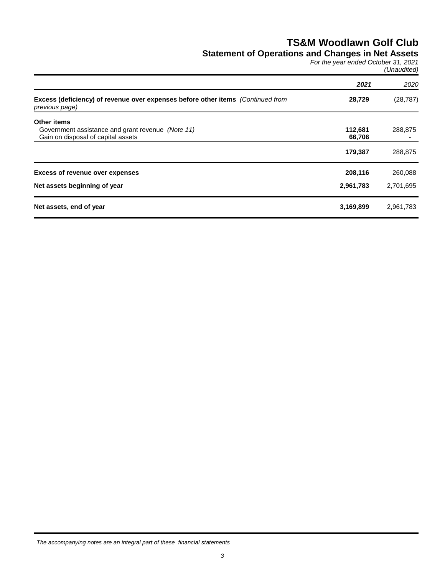# **Statement of Operations and Changes in Net Assets**

*For the year ended October 31, 2021 (Unaudited)*

|                                                                                                               | 2021              | 2020      |
|---------------------------------------------------------------------------------------------------------------|-------------------|-----------|
| <b>Excess (deficiency) of revenue over expenses before other items</b> (Continued from<br>previous page)      | 28,729            | (28, 787) |
| <b>Other items</b><br>Government assistance and grant revenue (Note 11)<br>Gain on disposal of capital assets | 112,681<br>66,706 | 288,875   |
|                                                                                                               | 179,387           | 288,875   |
| <b>Excess of revenue over expenses</b>                                                                        | 208,116           | 260,088   |
| Net assets beginning of year                                                                                  | 2,961,783         | 2,701,695 |
| Net assets, end of year                                                                                       | 3,169,899         | 2,961,783 |

#### *The accompanying notes are an integral part of these financial statements*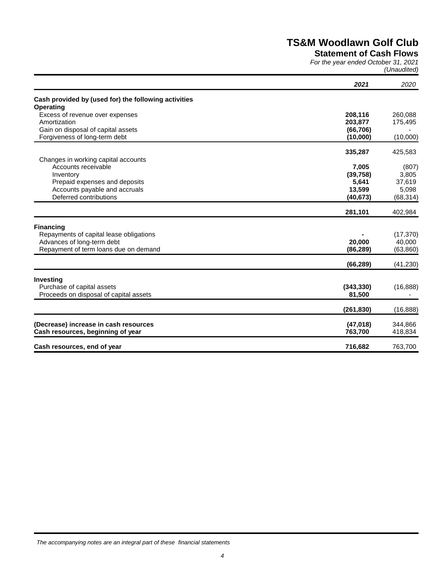# **Statement of Cash Flows**

*For the year ended October 31, 2021 (Unaudited)*

|                                                                     | 2021                  | 2020      |
|---------------------------------------------------------------------|-----------------------|-----------|
| Cash provided by (used for) the following activities                |                       |           |
| <b>Operating</b>                                                    |                       |           |
| Excess of revenue over expenses                                     | 208,116               | 260,088   |
| Amortization                                                        | 203,877               | 175,495   |
| Gain on disposal of capital assets<br>Forgiveness of long-term debt | (66, 706)<br>(10,000) | (10,000)  |
|                                                                     |                       |           |
|                                                                     | 335,287               | 425,583   |
| Changes in working capital accounts                                 |                       |           |
| Accounts receivable                                                 | 7,005                 | (807)     |
| Inventory                                                           | (39, 758)             | 3,805     |
| Prepaid expenses and deposits                                       | 5,641                 | 37,619    |
| Accounts payable and accruals                                       | 13,599                | 5,098     |
| Deferred contributions                                              | (40, 673)             | (68, 314) |
|                                                                     | 281,101               | 402,984   |
| <b>Financing</b>                                                    |                       |           |
| Repayments of capital lease obligations                             |                       | (17, 370) |
| Advances of long-term debt                                          | 20,000                | 40,000    |
| Repayment of term loans due on demand                               | (86, 289)             | (63, 860) |
|                                                                     | (66, 289)             | (41, 230) |
|                                                                     |                       |           |
| <b>Investing</b>                                                    |                       |           |
| Purchase of capital assets                                          | (343, 330)            | (16, 888) |
| Proceeds on disposal of capital assets                              | 81,500                |           |
|                                                                     | (261, 830)            | (16, 888) |
| (Decrease) increase in cash resources                               | (47, 018)             | 344,866   |
| Cash resources, beginning of year                                   | 763,700               | 418,834   |
|                                                                     |                       |           |
| Cash resources, end of year                                         | 716,682               | 763,700   |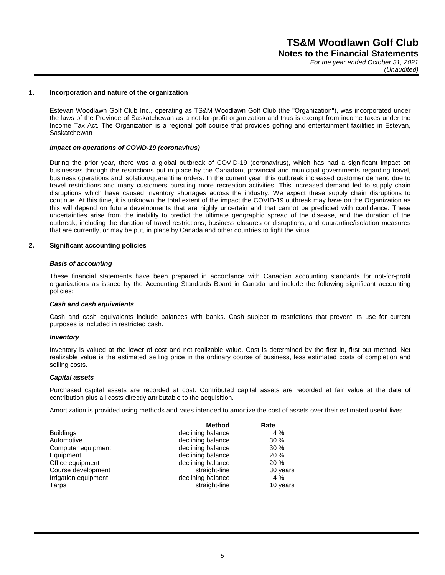#### **1. Incorporation and nature of the organization**

Estevan Woodlawn Golf Club Inc., operating as TS&M Woodlawn Golf Club (the "Organization"), was incorporated under the laws of the Province of Saskatchewan as a not-for-profit organization and thus is exempt from income taxes under the Income Tax Act. The Organization is a regional golf course that provides golfing and entertainment facilities in Estevan, **Saskatchewan** 

## *Impact on operations of COVID-19 (coronavirus)*

During the prior year, there was a global outbreak of COVID-19 (coronavirus), which has had a significant impact on businesses through the restrictions put in place by the Canadian, provincial and municipal governments regarding travel, business operations and isolation/quarantine orders. In the current year, this outbreak increased customer demand due to travel restrictions and many customers pursuing more recreation activities. This increased demand led to supply chain disruptions which have caused inventory shortages across the industry. We expect these supply chain disruptions to continue. At this time, it is unknown the total extent of the impact the COVID-19 outbreak may have on the Organization as this will depend on future developments that are highly uncertain and that cannot be predicted with confidence. These uncertainties arise from the inability to predict the ultimate geographic spread of the disease, and the duration of the outbreak, including the duration of travel restrictions, business closures or disruptions, and quarantine/isolation measures that are currently, or may be put, in place by Canada and other countries to fight the virus.

#### **2. Significant accounting policies**

#### *Basis of accounting*

These financial statements have been prepared in accordance with Canadian accounting standards for not-for-profit organizations as issued by the Accounting Standards Board in Canada and include the following significant accounting policies:

#### *Cash and cash equivalents*

Cash and cash equivalents include balances with banks. Cash subject to restrictions that prevent its use for current purposes is included in restricted cash.

#### *Inventory*

Inventory is valued at the lower of cost and net realizable value. Cost is determined by the first in, first out method. Net realizable value is the estimated selling price in the ordinary course of business, less estimated costs of completion and selling costs.

## *Capital assets*

Purchased capital assets are recorded at cost. Contributed capital assets are recorded at fair value at the date of contribution plus all costs directly attributable to the acquisition.

Amortization is provided using methods and rates intended to amortize the cost of assets over their estimated useful lives.

|                      | <b>Method</b>     | Rate     |
|----------------------|-------------------|----------|
| <b>Buildings</b>     | declining balance | $4\%$    |
| Automotive           | declining balance | 30%      |
| Computer equipment   | declining balance | 30%      |
| Equipment            | declining balance | 20%      |
| Office equipment     | declining balance | 20%      |
| Course development   | straight-line     | 30 years |
| Irrigation equipment | declining balance | $4\%$    |
| Tarps                | straight-line     | 10 years |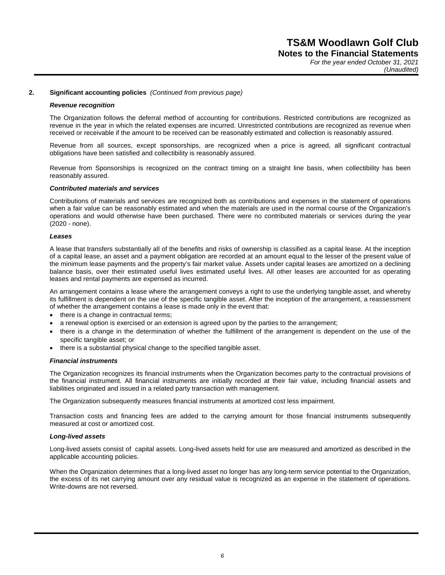## **2. Significant accounting policies** *(Continued from previous page)*

#### *Revenue recognition*

The Organization follows the deferral method of accounting for contributions. Restricted contributions are recognized as revenue in the year in which the related expenses are incurred. Unrestricted contributions are recognized as revenue when received or receivable if the amount to be received can be reasonably estimated and collection is reasonably assured.

Revenue from all sources, except sponsorships, are recognized when a price is agreed, all significant contractual obligations have been satisfied and collectibility is reasonably assured.

Revenue from Sponsorships is recognized on the contract timing on a straight line basis, when collectibility has been reasonably assured.

## *Contributed materials and services*

Contributions of materials and services are recognized both as contributions and expenses in the statement of operations when a fair value can be reasonably estimated and when the materials are used in the normal course of the Organization's operations and would otherwise have been purchased. There were no contributed materials or services during the year (2020 - none).

#### *Leases*

A lease that transfers substantially all of the benefits and risks of ownership is classified as a capital lease. At the inception of a capital lease, an asset and a payment obligation are recorded at an amount equal to the lesser of the present value of the minimum lease payments and the property's fair market value. Assets under capital leases are amortized on a declining balance basis, over their estimated useful lives estimated useful lives. All other leases are accounted for as operating leases and rental payments are expensed as incurred.

An arrangement contains a lease where the arrangement conveys a right to use the underlying tangible asset, and whereby its fulfillment is dependent on the use of the specific tangible asset. After the inception of the arrangement, a reassessment of whether the arrangement contains a lease is made only in the event that:

- there is a change in contractual terms;
- a renewal option is exercised or an extension is agreed upon by the parties to the arrangement;
- there is a change in the determination of whether the fulfillment of the arrangement is dependent on the use of the specific tangible asset; or
- there is a substantial physical change to the specified tangible asset.

#### *Financial instruments*

The Organization recognizes its financial instruments when the Organization becomes party to the contractual provisions of the financial instrument. All financial instruments are initially recorded at their fair value, including financial assets and liabilities originated and issued in a related party transaction with management.

The Organization subsequently measures financial instruments at amortized cost less impairment.

Transaction costs and financing fees are added to the carrying amount for those financial instruments subsequently measured at cost or amortized cost.

#### *Long-lived assets*

Long-lived assets consist of capital assets. Long-lived assets held for use are measured and amortized as described in the applicable accounting policies.

When the Organization determines that a long-lived asset no longer has any long-term service potential to the Organization, the excess of its net carrying amount over any residual value is recognized as an expense in the statement of operations. Write-downs are not reversed.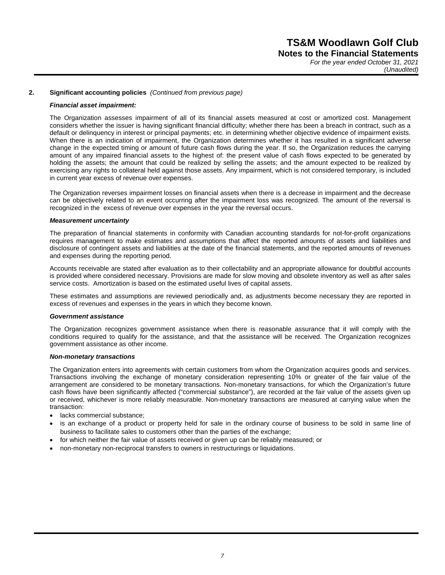## **2. Significant accounting policies** *(Continued from previous page)*

#### *Financial asset impairment:*

The Organization assesses impairment of all of its financial assets measured at cost or amortized cost. Management considers whether the issuer is having significant financial difficulty; whether there has been a breach in contract, such as a default or delinquency in interest or principal payments; etc. in determining whether objective evidence of impairment exists. When there is an indication of impairment, the Organization determines whether it has resulted in a significant adverse change in the expected timing or amount of future cash flows during the year. If so, the Organization reduces the carrying amount of any impaired financial assets to the highest of: the present value of cash flows expected to be generated by holding the assets; the amount that could be realized by selling the assets; and the amount expected to be realized by exercising any rights to collateral held against those assets. Any impairment, which is not considered temporary, is included in current year excess of revenue over expenses.

The Organization reverses impairment losses on financial assets when there is a decrease in impairment and the decrease can be objectively related to an event occurring after the impairment loss was recognized. The amount of the reversal is recognized in the excess of revenue over expenses in the year the reversal occurs.

#### *Measurement uncertainty*

The preparation of financial statements in conformity with Canadian accounting standards for not-for-profit organizations requires management to make estimates and assumptions that affect the reported amounts of assets and liabilities and disclosure of contingent assets and liabilities at the date of the financial statements, and the reported amounts of revenues and expenses during the reporting period.

Accounts receivable are stated after evaluation as to their collectability and an appropriate allowance for doubtful accounts is provided where considered necessary. Provisions are made for slow moving and obsolete inventory as well as after sales service costs. Amortization is based on the estimated useful lives of capital assets.

These estimates and assumptions are reviewed periodically and, as adjustments become necessary they are reported in excess of revenues and expenses in the years in which they become known.

#### *Government assistance*

The Organization recognizes government assistance when there is reasonable assurance that it will comply with the conditions required to qualify for the assistance, and that the assistance will be received. The Organization recognizes government assistance as other income.

#### *Non-monetary transactions*

The Organization enters into agreements with certain customers from whom the Organization acquires goods and services. Transactions involving the exchange of monetary consideration representing 10% or greater of the fair value of the arrangement are considered to be monetary transactions. Non-monetary transactions, for which the Organization's future cash flows have been significantly affected ("commercial substance"), are recorded at the fair value of the assets given up or received, whichever is more reliably measurable. Non-monetary transactions are measured at carrying value when the transaction:

- lacks commercial substance;
- is an exchange of a product or property held for sale in the ordinary course of business to be sold in same line of business to facilitate sales to customers other than the parties of the exchange;
- for which neither the fair value of assets received or given up can be reliably measured; or
- non-monetary non-reciprocal transfers to owners in restructurings or liquidations.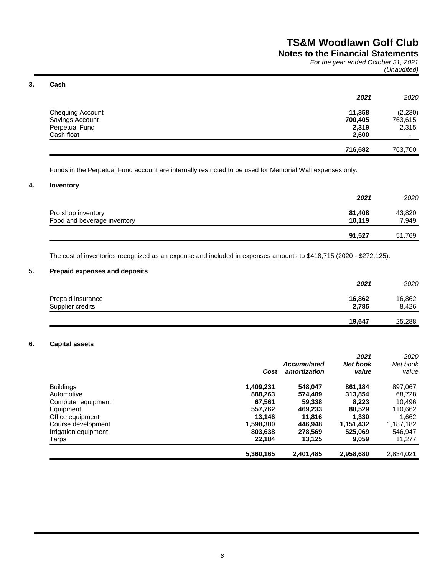**Notes to the Financial Statements** *For the year ended October 31, 2021*

*(Unaudited)*

# **3. Cash**

|                         | 2021    | 2020     |
|-------------------------|---------|----------|
| <b>Chequing Account</b> | 11,358  | (2, 230) |
| Savings Account         | 700,405 | 763,615  |
| Perpetual Fund          | 2,319   | 2,315    |
| Cash float              | 2,600   | -        |
|                         | 716,682 | 763,700  |

Funds in the Perpetual Fund account are internally restricted to be used for Memorial Wall expenses only.

#### **4. Inventory**

|                                                   | 2021             | 2020            |
|---------------------------------------------------|------------------|-----------------|
| Pro shop inventory<br>Food and beverage inventory | 81,408<br>10,119 | 43,820<br>7,949 |
|                                                   | 91,527           | 51.769          |

The cost of inventories recognized as an expense and included in expenses amounts to \$418,715 (2020 - \$272,125).

# **5. Prepaid expenses and deposits**

|                   | 2021   | 2020   |
|-------------------|--------|--------|
| Prepaid insurance | 16,862 | 16,862 |
| Supplier credits  | 2,785  | 8,426  |
|                   | 19,647 | 25,288 |

# **6. Capital assets**

|                      | 5,360,165 | 2,401,485          | 2,958,680 | 2,834,021 |
|----------------------|-----------|--------------------|-----------|-----------|
| Tarps                | 22,184    | 13,125             | 9,059     | 11,277    |
| Irrigation equipment | 803.638   | 278.569            | 525.069   | 546,947   |
| Course development   | 1,598,380 | 446.948            | 1,151,432 | 1,187,182 |
| Office equipment     | 13.146    | 11.816             | 1.330     | 1,662     |
| Equipment            | 557,762   | 469.233            | 88,529    | 110,662   |
| Computer equipment   | 67.561    | 59,338             | 8.223     | 10,496    |
| Automotive           | 888,263   | 574.409            | 313,854   | 68,728    |
| <b>Buildings</b>     | 1,409,231 | 548,047            | 861,184   | 897,067   |
|                      | Cost      | amortization       | value     | value     |
|                      |           | <b>Accumulated</b> | Net book  | Net book  |
|                      |           |                    | 2021      | 2020      |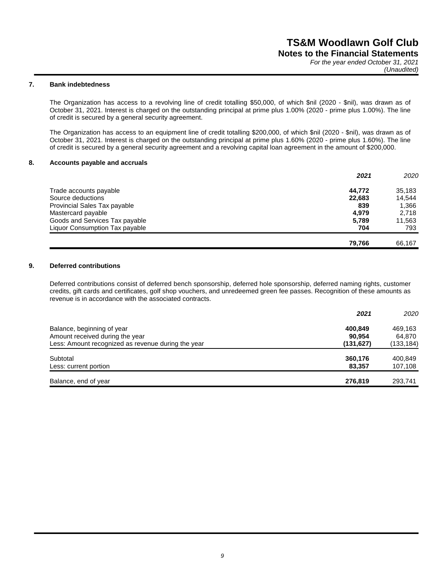# **7. Bank indebtedness**

The Organization has access to a revolving line of credit totalling \$50,000, of which \$nil (2020 - \$nil), was drawn as of October 31, 2021. Interest is charged on the outstanding principal at prime plus 1.00% (2020 - prime plus 1.00%). The line of credit is secured by a general security agreement.

The Organization has access to an equipment line of credit totalling \$200,000, of which \$nil (2020 - \$nil), was drawn as of October 31, 2021. Interest is charged on the outstanding principal at prime plus 1.60% (2020 - prime plus 1.60%). The line of credit is secured by a general security agreement and a revolving capital loan agreement in the amount of \$200,000.

#### **8. Accounts payable and accruals**

|                                | 2021   | 2020   |
|--------------------------------|--------|--------|
| Trade accounts payable         | 44.772 | 35,183 |
| Source deductions              | 22,683 | 14.544 |
| Provincial Sales Tax payable   | 839    | 1,366  |
| Mastercard payable             | 4,979  | 2.718  |
| Goods and Services Tax payable | 5.789  | 11.563 |
| Liquor Consumption Tax payable | 704    | 793    |
|                                | 79.766 | 66.167 |

# **9. Deferred contributions**

Deferred contributions consist of deferred bench sponsorship, deferred hole sponsorship, deferred naming rights, customer credits, gift cards and certificates, golf shop vouchers, and unredeemed green fee passes. Recognition of these amounts as revenue is in accordance with the associated contracts.

|                                                    | 2021       | 2020       |
|----------------------------------------------------|------------|------------|
| Balance, beginning of year                         | 400.849    | 469.163    |
| Amount received during the year                    | 90.954     | 64.870     |
| Less: Amount recognized as revenue during the year | (131, 627) | (133, 184) |
| Subtotal                                           | 360,176    | 400,849    |
| Less: current portion                              | 83.357     | 107,108    |
| Balance, end of year                               | 276.819    | 293,741    |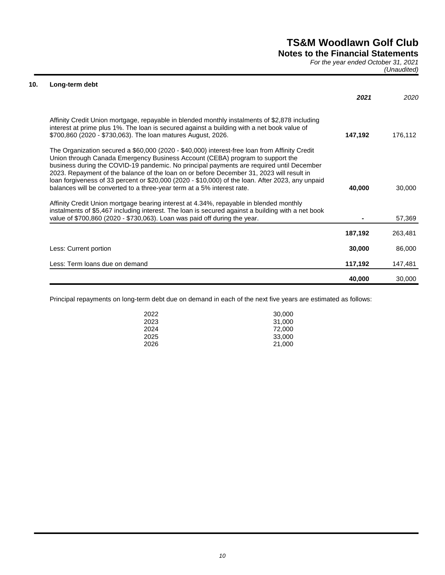**Notes to the Financial Statements** *For the year ended October 31, 2021*

*(Unaudited)*

# **10. Long-term debt** *2021 2020* Affinity Credit Union mortgage, repayable in blended monthly instalments of \$2,878 including interest at prime plus 1%. The loan is secured against a building with a net book value of \$700,860 (2020 - \$730,063). The loan matures August, 2026. **147,192** 176,112 The Organization secured a \$60,000 (2020 - \$40,000) interest-free loan from Affinity Credit Union through Canada Emergency Business Account (CEBA) program to support the business during the COVID-19 pandemic. No principal payments are required until December 2023. Repayment of the balance of the loan on or before December 31, 2023 will result in loan forgiveness of 33 percent or \$20,000 (2020 - \$10,000) of the loan. After 2023, any unpaid balances will be converted to a three-year term at a 5% interest rate. **40,000** 30,000 Affinity Credit Union mortgage bearing interest at 4.34%, repayable in blended monthly instalments of \$5,467 including interest. The loan is secured against a building with a net book value of \$700,860 (2020 - \$730,063). Loan was paid off during the year. **-** 57,369 **187,192** 263,481 Less: Current portion **30,000** 86,000 Less: Term loans due on demand **117,192** 147,481 **40,000** 30,000

Principal repayments on long-term debt due on demand in each of the next five years are estimated as follows:

| 2022 | 30,000 |
|------|--------|
| 2023 | 31,000 |
| 2024 | 72,000 |
| 2025 | 33,000 |
| 2026 | 21,000 |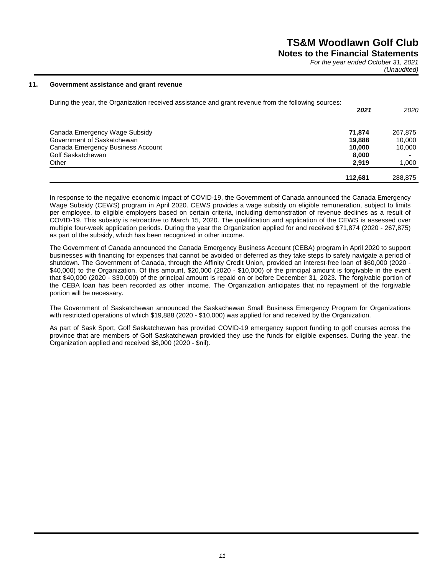*2021 2020*

#### **11. Government assistance and grant revenue**

During the year, the Organization received assistance and grant revenue from the following sources:

| Canada Emergency Wage Subsidy     | 71.874  | 267,875 |
|-----------------------------------|---------|---------|
| Government of Saskatchewan        | 19,888  | 10.000  |
| Canada Emergency Business Account | 10,000  | 10,000  |
| <b>Golf Saskatchewan</b>          | 8,000   |         |
| Other                             | 2.919   | 1,000   |
|                                   |         |         |
|                                   | 112.681 | 288,875 |

In response to the negative economic impact of COVID-19, the Government of Canada announced the Canada Emergency Wage Subsidy (CEWS) program in April 2020. CEWS provides a wage subsidy on eligible remuneration, subject to limits per employee, to eligible employers based on certain criteria, including demonstration of revenue declines as a result of COVID-19. This subsidy is retroactive to March 15, 2020. The qualification and application of the CEWS is assessed over multiple four-week application periods. During the year the Organization applied for and received \$71,874 (2020 - 267,875) as part of the subsidy, which has been recognized in other income.

The Government of Canada announced the Canada Emergency Business Account (CEBA) program in April 2020 to support businesses with financing for expenses that cannot be avoided or deferred as they take steps to safely navigate a period of shutdown. The Government of Canada, through the Affinity Credit Union, provided an interest-free loan of \$60,000 (2020 - \$40,000) to the Organization. Of this amount, \$20,000 (2020 - \$10,000) of the principal amount is forgivable in the event that \$40,000 (2020 - \$30,000) of the principal amount is repaid on or before December 31, 2023. The forgivable portion of the CEBA loan has been recorded as other income. The Organization anticipates that no repayment of the forgivable portion will be necessary.

The Government of Saskatchewan announced the Saskachewan Small Business Emergency Program for Organizations with restricted operations of which \$19,888 (2020 - \$10,000) was applied for and received by the Organization.

As part of Sask Sport, Golf Saskatchewan has provided COVID-19 emergency support funding to golf courses across the province that are members of Golf Saskatchewan provided they use the funds for eligible expenses. During the year, the Organization applied and received \$8,000 (2020 - \$nil).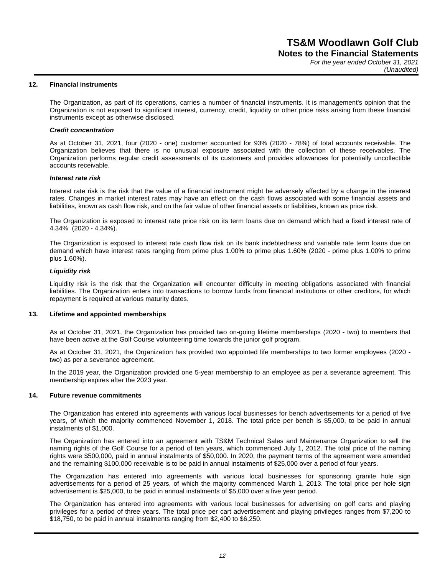#### **12. Financial instruments**

The Organization, as part of its operations, carries a number of financial instruments. It is management's opinion that the Organization is not exposed to significant interest, currency, credit, liquidity or other price risks arising from these financial instruments except as otherwise disclosed.

#### *Credit concentration*

As at October 31, 2021, four (2020 - one) customer accounted for 93% (2020 - 78%) of total accounts receivable. The Organization believes that there is no unusual exposure associated with the collection of these receivables. The Organization performs regular credit assessments of its customers and provides allowances for potentially uncollectible accounts receivable.

#### *Interest rate risk*

Interest rate risk is the risk that the value of a financial instrument might be adversely affected by a change in the interest rates. Changes in market interest rates may have an effect on the cash flows associated with some financial assets and liabilities, known as cash flow risk, and on the fair value of other financial assets or liabilities, known as price risk.

The Organization is exposed to interest rate price risk on its term loans due on demand which had a fixed interest rate of 4.34% (2020 - 4.34%).

The Organization is exposed to interest rate cash flow risk on its bank indebtedness and variable rate term loans due on demand which have interest rates ranging from prime plus 1.00% to prime plus 1.60% (2020 - prime plus 1.00% to prime plus 1.60%).

#### *Liquidity risk*

Liquidity risk is the risk that the Organization will encounter difficulty in meeting obligations associated with financial liabilities. The Organization enters into transactions to borrow funds from financial institutions or other creditors, for which repayment is required at various maturity dates.

#### **13. Lifetime and appointed memberships**

As at October 31, 2021, the Organization has provided two on-going lifetime memberships (2020 - two) to members that have been active at the Golf Course volunteering time towards the junior golf program.

As at October 31, 2021, the Organization has provided two appointed life memberships to two former employees (2020 two) as per a severance agreement.

In the 2019 year, the Organization provided one 5-year membership to an employee as per a severance agreement. This membership expires after the 2023 year.

#### **14. Future revenue commitments**

The Organization has entered into agreements with various local businesses for bench advertisements for a period of five years, of which the majority commenced November 1, 2018. The total price per bench is \$5,000, to be paid in annual instalments of \$1,000.

The Organization has entered into an agreement with TS&M Technical Sales and Maintenance Organization to sell the naming rights of the Golf Course for a period of ten years, which commenced July 1, 2012. The total price of the naming rights were \$500,000, paid in annual instalments of \$50,000. In 2020, the payment terms of the agreement were amended and the remaining \$100,000 receivable is to be paid in annual instalments of \$25,000 over a period of four years.

The Organization has entered into agreements with various local businesses for sponsoring granite hole sign advertisements for a period of 25 years, of which the majority commenced March 1, 2013. The total price per hole sign advertisement is \$25,000, to be paid in annual instalments of \$5,000 over a five year period.

The Organization has entered into agreements with various local businesses for advertising on golf carts and playing privileges for a period of three years. The total price per cart advertisement and playing privileges ranges from \$7,200 to \$18,750, to be paid in annual instalments ranging from \$2,400 to \$6,250.